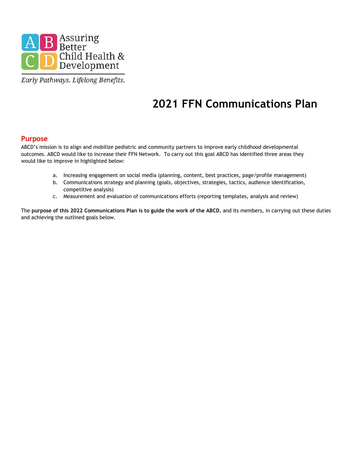

Early Pathways. Lifelong Benefits.

# **2021 FFN Communications Plan**

## **Purpose**

ABCD's mission is to align and mobilize pediatric and community partners to improve early childhood developmental outcomes. ABCD would like to increase their FFN Network. To carry out this goal ABCD has identified three areas they would like to improve in highlighted below:

- a. Increasing engagement on social media (planning, content, best practices, page/profile management)
- b. Communications strategy and planning (goals, objectives, strategies, tactics, audience identification, competitive analysis)
- c. Measurement and evaluation of communications efforts (reporting templates, analysis and review)

The **purpose of this 2022 Communications Plan is to guide the work of the ABCD**, and its members, in carrying out these duties and achieving the outlined goals below.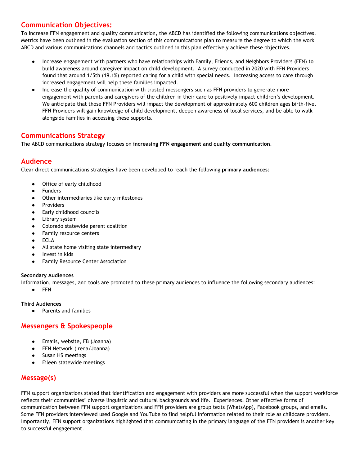# **Communication Objectives:**

To increase FFN engagement and quality communication, the ABCD has identified the following communications objectives. Metrics have been outlined in the evaluation section of this communications plan to measure the degree to which the work ABCD and various communications channels and tactics outlined in this plan effectively achieve these objectives.

- Increase engagement with partners who have relationships with Family, Friends, and Neighbors Providers (FFN) to build awareness around caregiver impact on child development. A survey conducted in 2020 with FFN Providers found that around 1/5th (19.1%) reported caring for a child with special needs. Increasing access to care through increased engagement will help these families impacted.
- Increase the quality of communication with trusted messengers such as FFN providers to generate more engagement with parents and caregivers of the children in their care to positively impact children's development. We anticipate that those FFN Providers will impact the development of approximately 600 children ages birth-five. FFN Providers will gain knowledge of child development, deepen awareness of local services, and be able to walk alongside families in accessing these supports.

## **Communications Strategy**

The ABCD communications strategy focuses on **increasing FFN engagement and quality communication**.

## **Audience**

Clear direct communications strategies have been developed to reach the following **primary audiences**:

- Office of early childhood
- Funders
- Other intermediaries like early milestones
- **Providers**
- Early childhood councils
- Library system
- Colorado statewide parent coalition
- Family resource centers
- ECLA
- All state home visiting state intermediary
- Invest in kids
- **Family Resource Center Association**

#### **Secondary Audiences**

Information, messages, and tools are promoted to these primary audiences to influence the following secondary audiences:

● FFN

#### **Third Audiences**

● Parents and families

# **Messengers & Spokespeople**

- Emails, website, FB (Joanna)
- FFN Network (Irena/Joanna)
- Susan HS meetings
- Eileen statewide meetings

# **Message(s)**

FFN support organizations stated that identification and engagement with providers are more successful when the support workforce reflects their communities' diverse linguistic and cultural backgrounds and life. Experiences. Other effective forms of communication between FFN support organizations and FFN providers are group texts (WhatsApp), Facebook groups, and emails. Some FFN providers interviewed used Google and YouTube to find helpful information related to their role as childcare providers. Importantly, FFN support organizations highlighted that communicating in the primary language of the FFN providers is another key to successful engagement.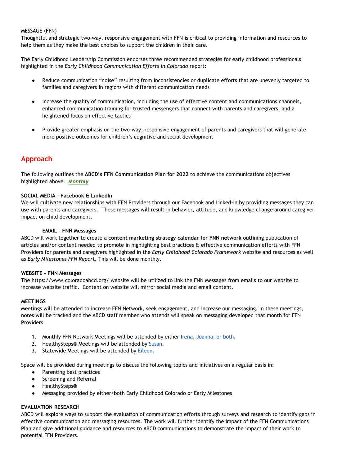#### MESSAGE (FFN)

Thoughtful and strategic two-way, responsive engagement with FFN is critical to providing information and resources to help them as they make the best choices to support the children in their care.

The Early Childhood Leadership Commission endorses three recommended strategies for early childhood professionals highlighted in the *Early Childhood Communication Efforts in Colorado* report:

- Reduce communication "noise" resulting from inconsistencies or duplicate efforts that are unevenly targeted to families and caregivers in regions with different communication needs
- Increase the quality of communication, including the use of effective content and communications channels, enhanced communication training for trusted messengers that connect with parents and caregivers, and a heightened focus on effective tactics
- Provide greater emphasis on the two-way, responsive engagement of parents and caregivers that will generate more positive outcomes for children's cognitive and social development

## **Approach**

The following outlines the **ABCD's FFN Communication Plan for 2022** to achieve the communications objectives highlighted above. *Monthly*

#### **SOCIAL MEDIA - Facebook & LinkedIn**

We will cultivate new relationships with FFN Providers through our Facebook and Linked-In by providing messages they can use with parents and caregivers. These messages will result in behavior, attitude, and knowledge change around caregiver impact on child development.

#### **EMAIL - FNN Messages**

ABCD will work together to create a **content marketing strategy calendar for FNN network** outlining publication of articles and/or content needed to promote in highlighting best practices & effective communication efforts with FFN Providers for parents and caregivers highlighted in the *Early Childhood Colorado Framework* website and resources as well as *Early Milestones FFN Repor*t. This will be done monthly.

#### **WEBSITE - FNN Messages**

The https://www.coloradoabcd.org/ website will be utilized to link the FNN Messages from emails to our website to increase website traffic. Content on website will mirror social media and email content.

#### **MEETINGS**

Meetings will be attended to increase FFN Network, seek engagement, and increase our messaging. In these meetings, notes will be tracked and the ABCD staff member who attends will speak on messaging developed that month for FFN Providers.

- 1. Monthly FFN Network Meetings will be attended by either Irena, Joanna, or both.
- 2. HealthySteps® Meetings will be attended by Susan.
- 3. Statewide Meetings will be attended by Eileen.

Space will be provided during meetings to discuss the following topics and initiatives on a regular basis in:

- Parenting best practices
- Screening and Referral
- HealthySteps**®**
- Messaging provided by either/both Early Childhood Colorado or Early Milestones

#### **EVALUATION RESEARCH**

ABCD will explore ways to support the evaluation of communication efforts through surveys and research to identify gaps in effective communication and messaging resources. The work will further identify the impact of the FFN Communications Plan and give additional guidance and resources to ABCD communications to demonstrate the impact of their work to potential FFN Providers.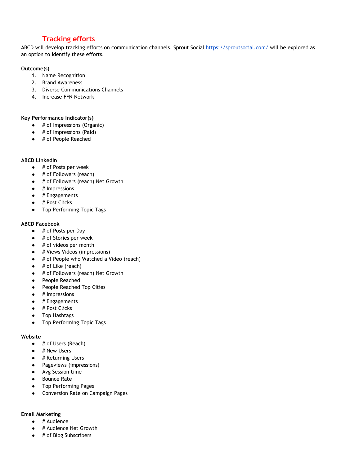# **Tracking efforts**

ABCD will develop tracking efforts on communication channels. Sprout Social<https://sproutsocial.com/> will be explored as an option to identify these efforts.

### **Outcome(s)**

- 1. Name Recognition
- 2. Brand Awareness
- 3. Diverse Communications Channels
- 4. Increase FFN Network

**Key Performance Indicator(s)**

- # of Impressions (Organic)
- $\bullet$  # of Impressions (Paid)
- # of People Reached

#### **ABCD LinkedIn**

- $\bullet$  # of Posts per week
- $\bullet$  # of Followers (reach)
- # of Followers (reach) Net Growth
- $\bullet$  # Impressions
- $\bullet$  # Engagements
- # Post Clicks
- Top Performing Topic Tags

#### **ABCD Facebook**

- # of Posts per Day
- # of Stories per week
- $\bullet$  # of videos per month
- # Views Videos (impressions)
- # of People who Watched a Video (reach)
- # of Like (reach)
- # of Followers (reach) Net Growth
- People Reached
- People Reached Top Cities
- # Impressions
- $\bullet$  # Engagements
- # Post Clicks
- Top Hashtags
- Top Performing Topic Tags

#### **Website**

- # of Users (Reach)
- $\bullet$  # New Users
- # Returning Users
- Pageviews (impressions)
- Avg Session time
- Bounce Rate
- Top Performing Pages
- Conversion Rate on Campaign Pages

#### **Email Marketing**

- $\bullet$  # Audience
- # Audience Net Growth
- # of Blog Subscribers